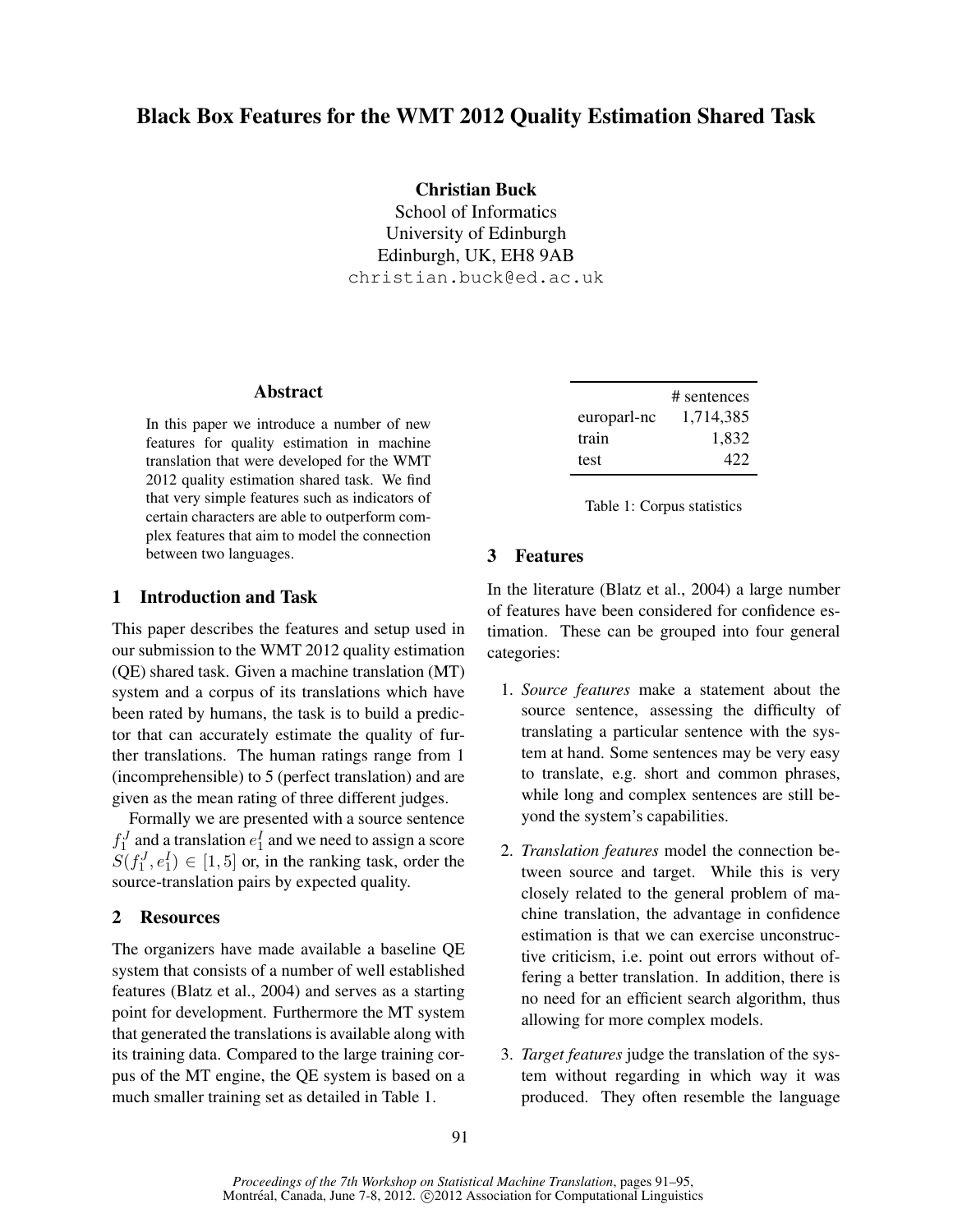Black Box Features for the WMT 2012 Quality Estimation Shared Task

Christian Buck School of Informatics University of Edinburgh Edinburgh, UK, EH8 9AB christian.buck@ed.ac.uk

# Abstract

In this paper we introduce a number of new features for quality estimation in machine translation that were developed for the WMT 2012 quality estimation shared task. We find that very simple features such as indicators of certain characters are able to outperform complex features that aim to model the connection between two languages.

# 1 Introduction and Task

This paper describes the features and setup used in our submission to the WMT 2012 quality estimation (QE) shared task. Given a machine translation (MT) system and a corpus of its translations which have been rated by humans, the task is to build a predictor that can accurately estimate the quality of further translations. The human ratings range from 1 (incomprehensible) to 5 (perfect translation) and are given as the mean rating of three different judges.

Formally we are presented with a source sentence  $f_1^J$  and a translation  $e_1^I$  and we need to assign a score  $S(f_1^J, e_1^I) \in [1, 5]$  or, in the ranking task, order the source-translation pairs by expected quality.

## 2 Resources

The organizers have made available a baseline QE system that consists of a number of well established features (Blatz et al., 2004) and serves as a starting point for development. Furthermore the MT system that generated the translations is available along with its training data. Compared to the large training corpus of the MT engine, the QE system is based on a much smaller training set as detailed in Table 1.

|             | # sentences |
|-------------|-------------|
| europarl-nc | 1,714,385   |
| train       | 1,832       |
| test        | 422         |

Table 1: Corpus statistics

# 3 Features

In the literature (Blatz et al., 2004) a large number of features have been considered for confidence estimation. These can be grouped into four general categories:

- 1. *Source features* make a statement about the source sentence, assessing the difficulty of translating a particular sentence with the system at hand. Some sentences may be very easy to translate, e.g. short and common phrases, while long and complex sentences are still beyond the system's capabilities.
- 2. *Translation features* model the connection between source and target. While this is very closely related to the general problem of machine translation, the advantage in confidence estimation is that we can exercise unconstructive criticism, i.e. point out errors without offering a better translation. In addition, there is no need for an efficient search algorithm, thus allowing for more complex models.
- 3. *Target features* judge the translation of the system without regarding in which way it was produced. They often resemble the language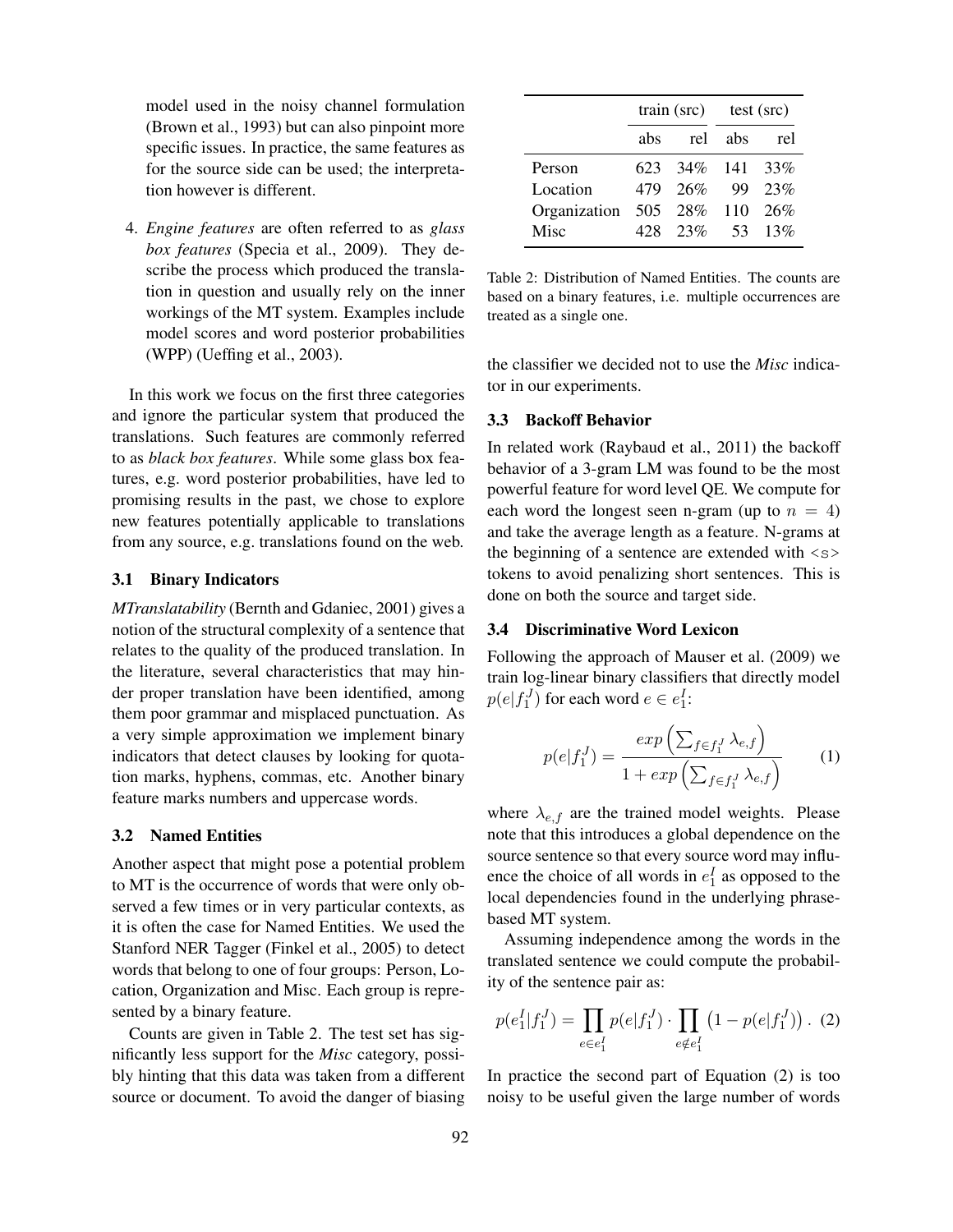model used in the noisy channel formulation (Brown et al., 1993) but can also pinpoint more specific issues. In practice, the same features as for the source side can be used; the interpretation however is different.

4. *Engine features* are often referred to as *glass box features* (Specia et al., 2009). They describe the process which produced the translation in question and usually rely on the inner workings of the MT system. Examples include model scores and word posterior probabilities (WPP) (Ueffing et al., 2003).

In this work we focus on the first three categories and ignore the particular system that produced the translations. Such features are commonly referred to as *black box features*. While some glass box features, e.g. word posterior probabilities, have led to promising results in the past, we chose to explore new features potentially applicable to translations from any source, e.g. translations found on the web.

#### 3.1 Binary Indicators

*MTranslatability* (Bernth and Gdaniec, 2001) gives a notion of the structural complexity of a sentence that relates to the quality of the produced translation. In the literature, several characteristics that may hinder proper translation have been identified, among them poor grammar and misplaced punctuation. As a very simple approximation we implement binary indicators that detect clauses by looking for quotation marks, hyphens, commas, etc. Another binary feature marks numbers and uppercase words.

#### 3.2 Named Entities

Another aspect that might pose a potential problem to MT is the occurrence of words that were only observed a few times or in very particular contexts, as it is often the case for Named Entities. We used the Stanford NER Tagger (Finkel et al., 2005) to detect words that belong to one of four groups: Person, Location, Organization and Misc. Each group is represented by a binary feature.

Counts are given in Table 2. The test set has significantly less support for the *Misc* category, possibly hinting that this data was taken from a different source or document. To avoid the danger of biasing

|                          | $train$ (src) test (src) |                   |         |         |
|--------------------------|--------------------------|-------------------|---------|---------|
|                          | abs                      |                   | rel abs | rel     |
| Person                   |                          | 623 34\% 141 33\% |         |         |
| Location                 |                          | 479 26%           |         | 99 23%  |
| Organization 505 28% 110 |                          |                   |         | $26\%$  |
| Misc                     |                          | 428 23%           |         | 53 13\% |

Table 2: Distribution of Named Entities. The counts are based on a binary features, i.e. multiple occurrences are treated as a single one.

the classifier we decided not to use the *Misc* indicator in our experiments.

#### 3.3 Backoff Behavior

In related work (Raybaud et al., 2011) the backoff behavior of a 3-gram LM was found to be the most powerful feature for word level QE. We compute for each word the longest seen n-gram (up to  $n = 4$ ) and take the average length as a feature. N-grams at the beginning of a sentence are extended with  $\langle s \rangle$ tokens to avoid penalizing short sentences. This is done on both the source and target side.

#### 3.4 Discriminative Word Lexicon

Following the approach of Mauser et al. (2009) we train log-linear binary classifiers that directly model  $p(e|f_1^J)$  for each word  $e \in e_1^I$ :

$$
p(e|f_1^J) = \frac{exp\left(\sum_{f \in f_1^J} \lambda_{e,f}\right)}{1 + exp\left(\sum_{f \in f_1^J} \lambda_{e,f}\right)} \tag{1}
$$

where  $\lambda_{e,f}$  are the trained model weights. Please note that this introduces a global dependence on the source sentence so that every source word may influence the choice of all words in  $e_1^I$  as opposed to the local dependencies found in the underlying phrasebased MT system.

Assuming independence among the words in the translated sentence we could compute the probability of the sentence pair as:

$$
p(e_1^I|f_1^J) = \prod_{e \in e_1^I} p(e|f_1^J) \cdot \prod_{e \notin e_1^I} (1 - p(e|f_1^J)) \cdot (2)
$$

In practice the second part of Equation (2) is too noisy to be useful given the large number of words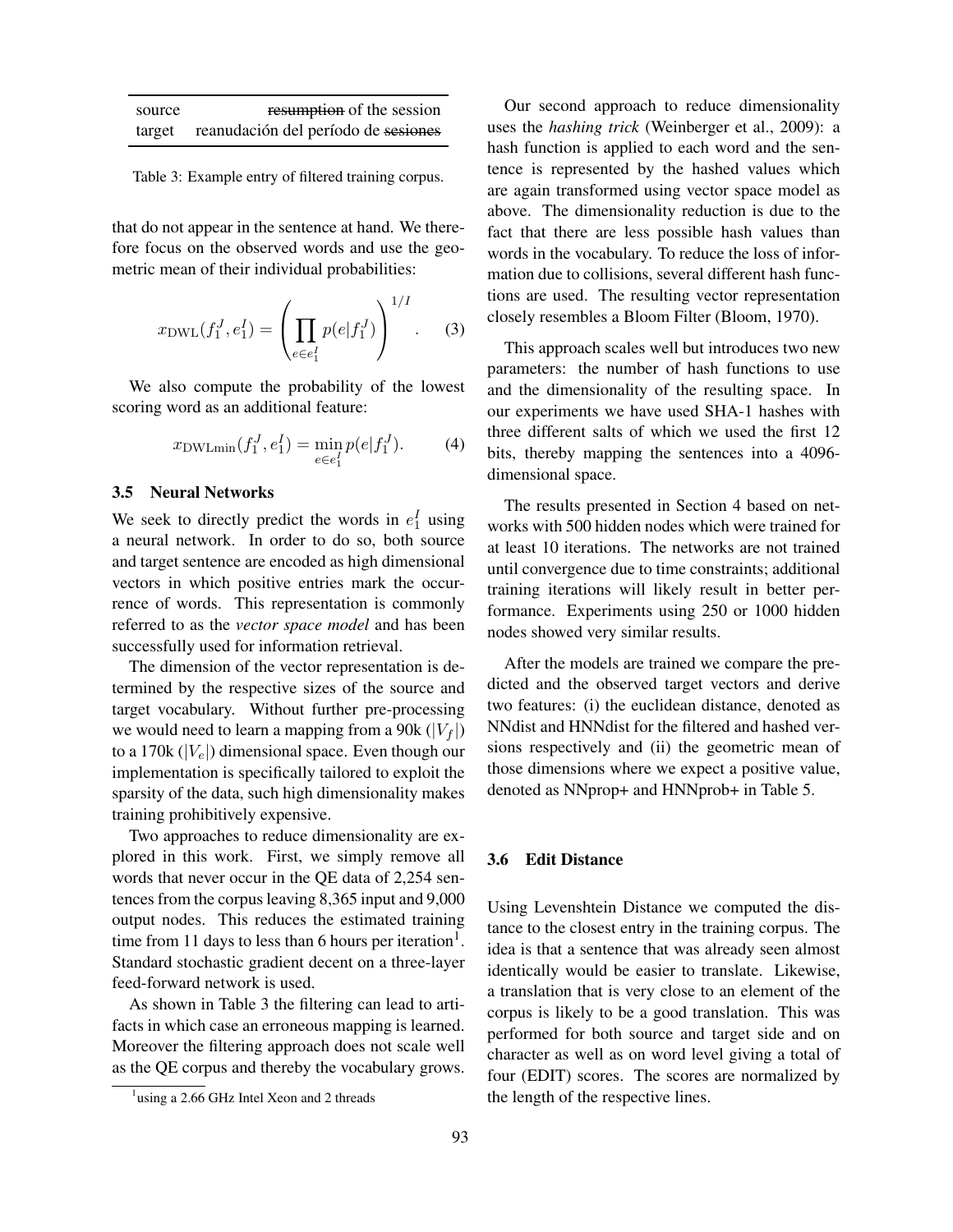| source | resumption of the session           |
|--------|-------------------------------------|
| target | reanudación del período de sesiones |

Table 3: Example entry of filtered training corpus.

that do not appear in the sentence at hand. We therefore focus on the observed words and use the geometric mean of their individual probabilities:

$$
x_{\rm DWL}(f_1^J, e_1^I) = \left(\prod_{e \in e_1^I} p(e|f_1^J)\right)^{1/I}.
$$
 (3)

We also compute the probability of the lowest scoring word as an additional feature:

$$
x_{\text{DWLmin}}(f_1^J, e_1^I) = \min_{e \in e_1^I} p(e|f_1^J). \tag{4}
$$

#### 3.5 Neural Networks

We seek to directly predict the words in  $e_1^I$  using a neural network. In order to do so, both source and target sentence are encoded as high dimensional vectors in which positive entries mark the occurrence of words. This representation is commonly referred to as the *vector space model* and has been successfully used for information retrieval.

The dimension of the vector representation is determined by the respective sizes of the source and target vocabulary. Without further pre-processing we would need to learn a mapping from a 90k ( $|V_f|$ ) to a 170k ( $|V_e|$ ) dimensional space. Even though our implementation is specifically tailored to exploit the sparsity of the data, such high dimensionality makes training prohibitively expensive.

Two approaches to reduce dimensionality are explored in this work. First, we simply remove all words that never occur in the QE data of 2,254 sentences from the corpus leaving 8,365 input and 9,000 output nodes. This reduces the estimated training time from 11 days to less than 6 hours per iteration<sup>1</sup>. Standard stochastic gradient decent on a three-layer feed-forward network is used.

As shown in Table 3 the filtering can lead to artifacts in which case an erroneous mapping is learned. Moreover the filtering approach does not scale well as the QE corpus and thereby the vocabulary grows.

Our second approach to reduce dimensionality uses the *hashing trick* (Weinberger et al., 2009): a hash function is applied to each word and the sentence is represented by the hashed values which are again transformed using vector space model as above. The dimensionality reduction is due to the fact that there are less possible hash values than words in the vocabulary. To reduce the loss of information due to collisions, several different hash functions are used. The resulting vector representation closely resembles a Bloom Filter (Bloom, 1970).

This approach scales well but introduces two new parameters: the number of hash functions to use and the dimensionality of the resulting space. In our experiments we have used SHA-1 hashes with three different salts of which we used the first 12 bits, thereby mapping the sentences into a 4096 dimensional space.

The results presented in Section 4 based on networks with 500 hidden nodes which were trained for at least 10 iterations. The networks are not trained until convergence due to time constraints; additional training iterations will likely result in better performance. Experiments using 250 or 1000 hidden nodes showed very similar results.

After the models are trained we compare the predicted and the observed target vectors and derive two features: (i) the euclidean distance, denoted as NNdist and HNNdist for the filtered and hashed versions respectively and (ii) the geometric mean of those dimensions where we expect a positive value, denoted as NNprop+ and HNNprob+ in Table 5.

#### 3.6 Edit Distance

Using Levenshtein Distance we computed the distance to the closest entry in the training corpus. The idea is that a sentence that was already seen almost identically would be easier to translate. Likewise, a translation that is very close to an element of the corpus is likely to be a good translation. This was performed for both source and target side and on character as well as on word level giving a total of four (EDIT) scores. The scores are normalized by the length of the respective lines.

<sup>&</sup>lt;sup>1</sup>using a 2.66 GHz Intel Xeon and 2 threads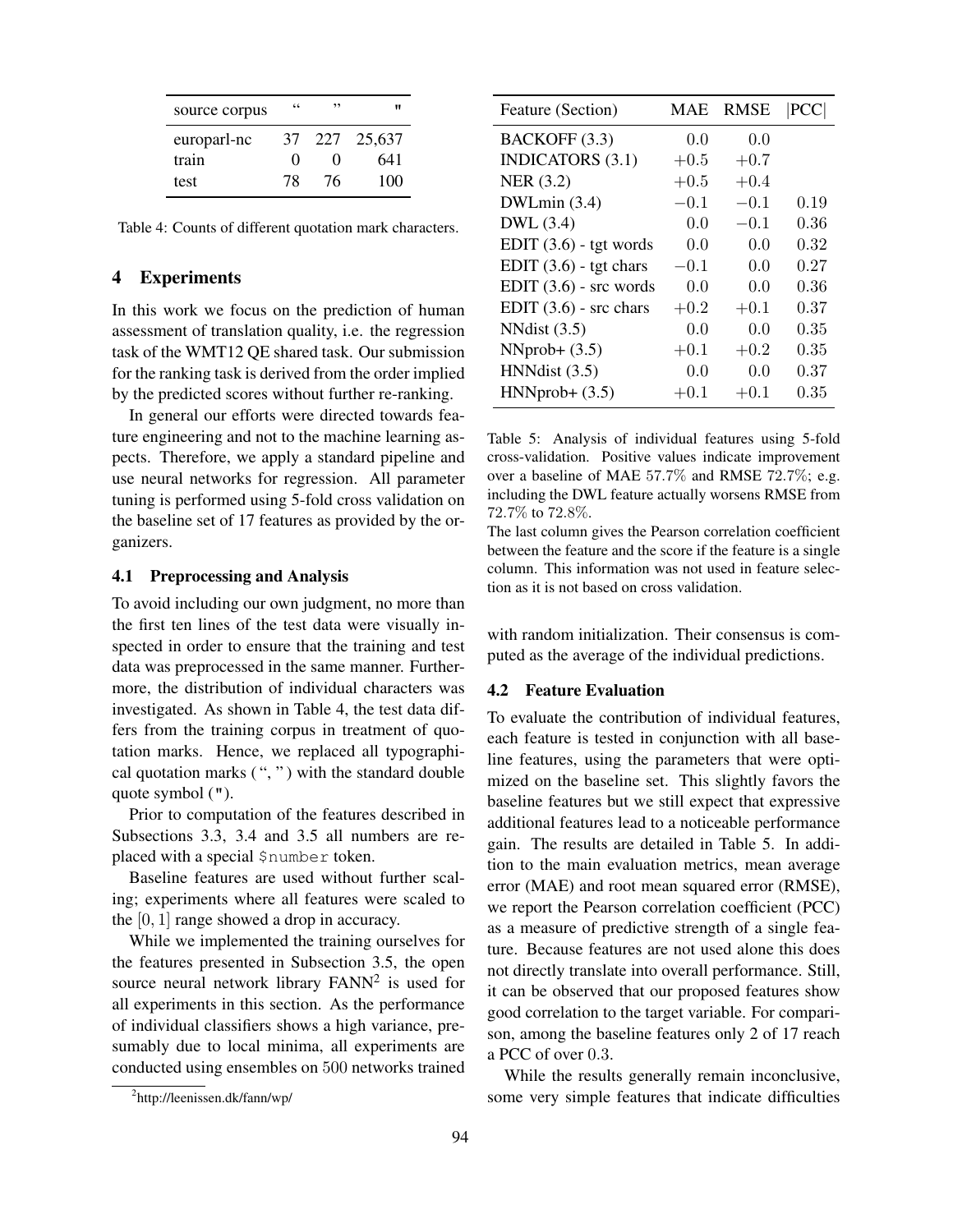| source corpus | 66                | ,,                | "      |
|---------------|-------------------|-------------------|--------|
| europarl-nc   | 37                | 227               | 25,637 |
| train         | $\mathbf{\Omega}$ | $\mathbf{\Omega}$ | 641    |
| test          | 78                | 76                | 100    |

Table 4: Counts of different quotation mark characters.

#### 4 Experiments

In this work we focus on the prediction of human assessment of translation quality, i.e. the regression task of the WMT12 QE shared task. Our submission for the ranking task is derived from the order implied by the predicted scores without further re-ranking.

In general our efforts were directed towards feature engineering and not to the machine learning aspects. Therefore, we apply a standard pipeline and use neural networks for regression. All parameter tuning is performed using 5-fold cross validation on the baseline set of 17 features as provided by the organizers.

#### 4.1 Preprocessing and Analysis

To avoid including our own judgment, no more than the first ten lines of the test data were visually inspected in order to ensure that the training and test data was preprocessed in the same manner. Furthermore, the distribution of individual characters was investigated. As shown in Table 4, the test data differs from the training corpus in treatment of quotation marks. Hence, we replaced all typographical quotation marks ( ", " ) with the standard double quote symbol (").

Prior to computation of the features described in Subsections 3.3, 3.4 and 3.5 all numbers are replaced with a special \$number token.

Baseline features are used without further scaling; experiments where all features were scaled to the [0, 1] range showed a drop in accuracy.

While we implemented the training ourselves for the features presented in Subsection 3.5, the open source neural network library  $FANN<sup>2</sup>$  is used for all experiments in this section. As the performance of individual classifiers shows a high variance, presumably due to local minima, all experiments are conducted using ensembles on 500 networks trained

| Feature (Section)        | MAE    | <b>RMSE</b> | PCC  |
|--------------------------|--------|-------------|------|
| BACKOFF (3.3)            | 0.0    | 0.0         |      |
| <b>INDICATORS</b> (3.1)  | $+0.5$ | $+0.7$      |      |
| <b>NER</b> (3.2)         | $+0.5$ | $+0.4$      |      |
| DWLmin(3.4)              | $-0.1$ | $-0.1$      | 0.19 |
| DWL (3.4)                | 0.0    | $-0.1$      | 0.36 |
| EDIT $(3.6)$ - tgt words | 0.0    | 0.0         | 0.32 |
| EDIT $(3.6)$ - tgt chars | $-0.1$ | 0.0         | 0.27 |
| EDIT $(3.6)$ - src words | 0.0    | 0.0         | 0.36 |
| EDIT $(3.6)$ - src chars | $+0.2$ | $+0.1$      | 0.37 |
| NNdist $(3.5)$           | 0.0    | 0.0         | 0.35 |
| $NNprob+ (3.5)$          | $+0.1$ | $+0.2$      | 0.35 |
| HNNdist $(3.5)$          | 0.0    | 0.0         | 0.37 |
| $HNNprob+ (3.5)$         | $+0.1$ | $+0.1$      | 0.35 |

Table 5: Analysis of individual features using 5-fold cross-validation. Positive values indicate improvement over a baseline of MAE 57.7% and RMSE 72.7%; e.g. including the DWL feature actually worsens RMSE from 72.7% to 72.8%.

The last column gives the Pearson correlation coefficient between the feature and the score if the feature is a single column. This information was not used in feature selection as it is not based on cross validation.

with random initialization. Their consensus is computed as the average of the individual predictions.

#### 4.2 Feature Evaluation

To evaluate the contribution of individual features, each feature is tested in conjunction with all baseline features, using the parameters that were optimized on the baseline set. This slightly favors the baseline features but we still expect that expressive additional features lead to a noticeable performance gain. The results are detailed in Table 5. In addition to the main evaluation metrics, mean average error (MAE) and root mean squared error (RMSE), we report the Pearson correlation coefficient (PCC) as a measure of predictive strength of a single feature. Because features are not used alone this does not directly translate into overall performance. Still, it can be observed that our proposed features show good correlation to the target variable. For comparison, among the baseline features only 2 of 17 reach a PCC of over 0.3.

While the results generally remain inconclusive, some very simple features that indicate difficulties

<sup>&</sup>lt;sup>2</sup>http://leenissen.dk/fann/wp/